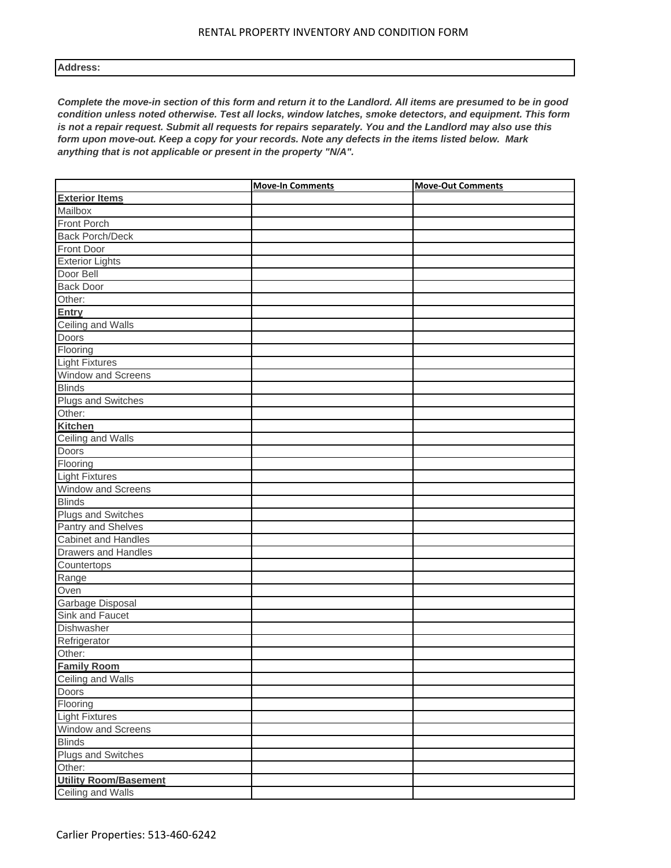*Complete the move-in section of this form and return it to the Landlord. All items are presumed to be in good condition unless noted otherwise. Test all locks, window latches, smoke detectors, and equipment. This form is not a repair request. Submit all requests for repairs separately. You and the Landlord may also use this form upon move-out. Keep a copy for your records. Note any defects in the items listed below. Mark anything that is not applicable or present in the property "N/A".*

|                              | <b>Move-In Comments</b> | <b>Move-Out Comments</b> |
|------------------------------|-------------------------|--------------------------|
| <b>Exterior Items</b>        |                         |                          |
| Mailbox                      |                         |                          |
| <b>Front Porch</b>           |                         |                          |
| <b>Back Porch/Deck</b>       |                         |                          |
| <b>Front Door</b>            |                         |                          |
| <b>Exterior Lights</b>       |                         |                          |
| Door Bell                    |                         |                          |
| <b>Back Door</b>             |                         |                          |
| Other:                       |                         |                          |
| Entry                        |                         |                          |
| Ceiling and Walls            |                         |                          |
| Doors                        |                         |                          |
| Flooring                     |                         |                          |
| <b>Light Fixtures</b>        |                         |                          |
| Window and Screens           |                         |                          |
| <b>Blinds</b>                |                         |                          |
| <b>Plugs and Switches</b>    |                         |                          |
| Other:                       |                         |                          |
| <b>Kitchen</b>               |                         |                          |
| Ceiling and Walls            |                         |                          |
| <b>Doors</b>                 |                         |                          |
| Flooring                     |                         |                          |
| <b>Light Fixtures</b>        |                         |                          |
| Window and Screens           |                         |                          |
| <b>Blinds</b>                |                         |                          |
| Plugs and Switches           |                         |                          |
| Pantry and Shelves           |                         |                          |
| Cabinet and Handles          |                         |                          |
| <b>Drawers and Handles</b>   |                         |                          |
| Countertops                  |                         |                          |
| Range                        |                         |                          |
| Oven                         |                         |                          |
| Garbage Disposal             |                         |                          |
| Sink and Faucet              |                         |                          |
| Dishwasher                   |                         |                          |
| Refrigerator                 |                         |                          |
| Other:                       |                         |                          |
| <b>Family Room</b>           |                         |                          |
| Ceiling and Walls            |                         |                          |
| <b>Doors</b>                 |                         |                          |
| Flooring                     |                         |                          |
| <b>Light Fixtures</b>        |                         |                          |
| Window and Screens           |                         |                          |
| <b>Blinds</b>                |                         |                          |
| Plugs and Switches           |                         |                          |
| Other:                       |                         |                          |
| <b>Utility Room/Basement</b> |                         |                          |
| Ceiling and Walls            |                         |                          |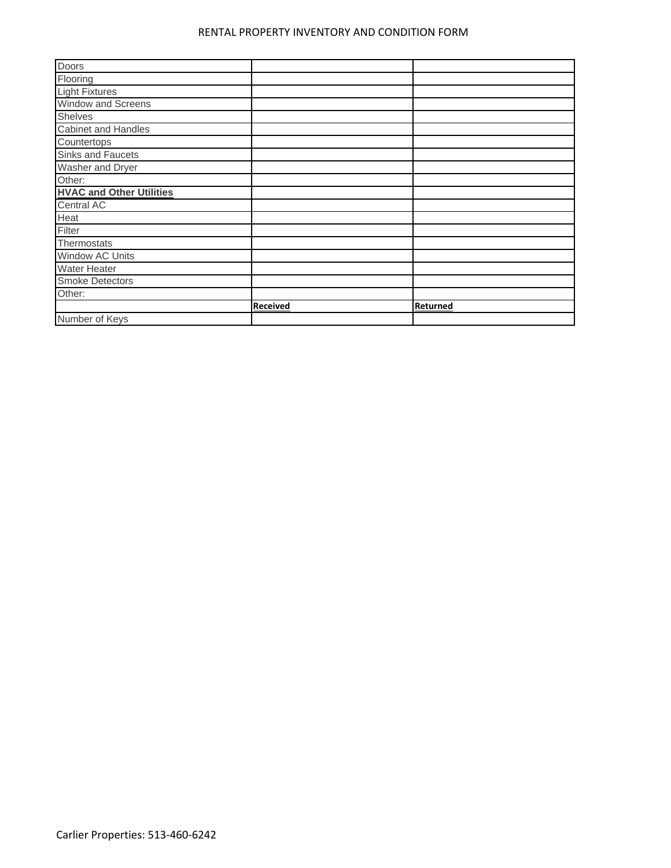## RENTAL PROPERTY INVENTORY AND CONDITION FORM

| <b>Doors</b>                    |          |          |
|---------------------------------|----------|----------|
| Flooring                        |          |          |
| <b>Light Fixtures</b>           |          |          |
| Window and Screens              |          |          |
| Shelves                         |          |          |
| <b>Cabinet and Handles</b>      |          |          |
| Countertops                     |          |          |
| Sinks and Faucets               |          |          |
| Washer and Dryer                |          |          |
| Other:                          |          |          |
| <b>HVAC and Other Utilities</b> |          |          |
| Central AC                      |          |          |
| Heat                            |          |          |
| Filter                          |          |          |
| Thermostats                     |          |          |
| Window AC Units                 |          |          |
| <b>Water Heater</b>             |          |          |
| <b>Smoke Detectors</b>          |          |          |
| Other:                          |          |          |
|                                 | Received | Returned |
| Number of Keys                  |          |          |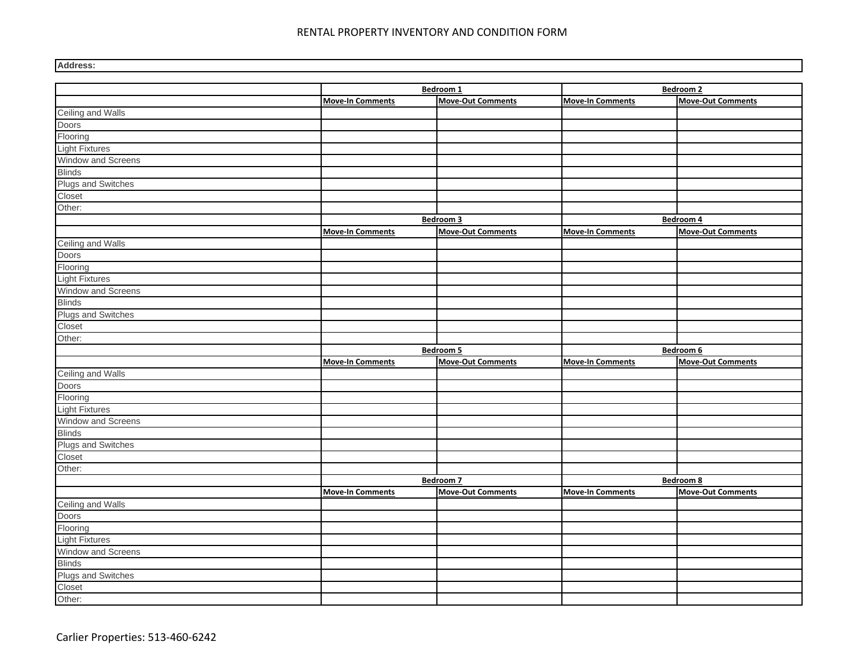|                                   | Bedroom 1               |                                       | Bedroom <sub>2</sub>    |                          |
|-----------------------------------|-------------------------|---------------------------------------|-------------------------|--------------------------|
|                                   | <b>Move-In Comments</b> | <b>Move-Out Comments</b>              | <b>Move-In Comments</b> | <b>Move-Out Comments</b> |
| Ceiling and Walls                 |                         |                                       |                         |                          |
| Doors                             |                         |                                       |                         |                          |
| Flooring                          |                         |                                       |                         |                          |
| <b>Light Fixtures</b>             |                         |                                       |                         |                          |
| Window and Screens                |                         |                                       |                         |                          |
| <b>Blinds</b>                     |                         |                                       |                         |                          |
| Plugs and Switches                |                         |                                       |                         |                          |
| Closet                            |                         |                                       |                         |                          |
| Other:                            |                         |                                       |                         |                          |
|                                   |                         |                                       | Bedroom 4               |                          |
|                                   |                         | Bedroom 3<br><b>Move-Out Comments</b> |                         | <b>Move-Out Comments</b> |
|                                   | <b>Move-In Comments</b> |                                       | <b>Move-In Comments</b> |                          |
| Ceiling and Walls                 |                         |                                       |                         |                          |
| Doors                             |                         |                                       |                         |                          |
| Flooring                          |                         |                                       |                         |                          |
| <b>Light Fixtures</b>             |                         |                                       |                         |                          |
| Window and Screens                |                         |                                       |                         |                          |
| <b>Blinds</b>                     |                         |                                       |                         |                          |
| Plugs and Switches                |                         |                                       |                         |                          |
| Closet                            |                         |                                       |                         |                          |
| Other:                            |                         |                                       |                         |                          |
|                                   |                         |                                       |                         |                          |
|                                   |                         | <b>Bedroom 5</b>                      |                         | Bedroom 6                |
|                                   | <b>Move-In Comments</b> | <b>Move-Out Comments</b>              | <b>Move-In Comments</b> | <b>Move-Out Comments</b> |
| Ceiling and Walls                 |                         |                                       |                         |                          |
| Doors                             |                         |                                       |                         |                          |
| Flooring                          |                         |                                       |                         |                          |
| <b>Light Fixtures</b>             |                         |                                       |                         |                          |
| Window and Screens                |                         |                                       |                         |                          |
| <b>Blinds</b>                     |                         |                                       |                         |                          |
| Plugs and Switches                |                         |                                       |                         |                          |
| Closet                            |                         |                                       |                         |                          |
| Other:                            |                         |                                       |                         |                          |
|                                   |                         | Bedroom 7                             |                         | Bedroom 8                |
|                                   | <b>Move-In Comments</b> | <b>Move-Out Comments</b>              | <b>Move-In Comments</b> | <b>Move-Out Comments</b> |
| Ceiling and Walls                 |                         |                                       |                         |                          |
| Doors                             |                         |                                       |                         |                          |
|                                   |                         |                                       |                         |                          |
| Flooring<br><b>Light Fixtures</b> |                         |                                       |                         |                          |
| Window and Screens                |                         |                                       |                         |                          |
| <b>Blinds</b>                     |                         |                                       |                         |                          |
| Plugs and Switches                |                         |                                       |                         |                          |
| Closet                            |                         |                                       |                         |                          |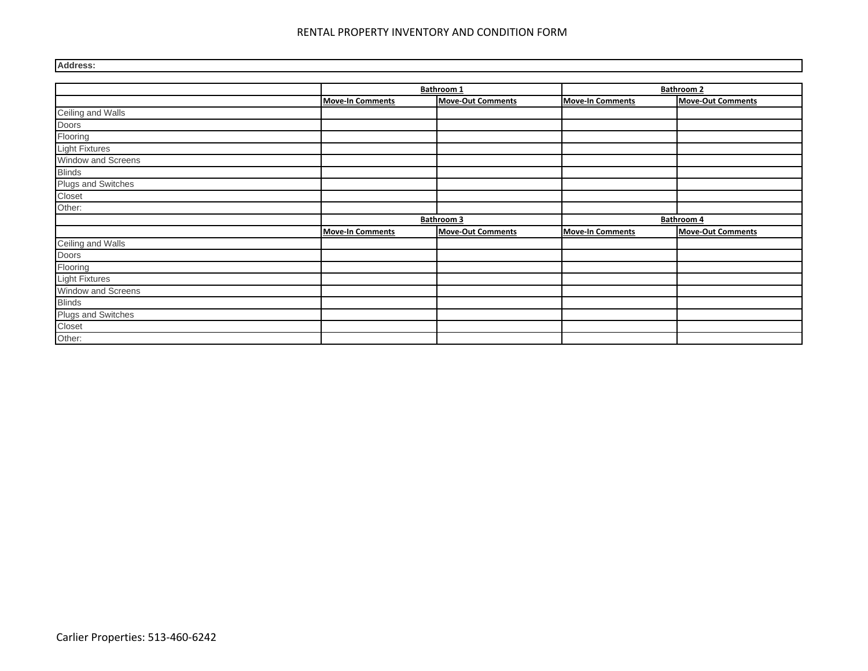|                              | Bathroom 1              |                          | Bathroom 2              |                          |
|------------------------------|-------------------------|--------------------------|-------------------------|--------------------------|
|                              | <b>Move-In Comments</b> | <b>Move-Out Comments</b> | <b>Move-In Comments</b> | <b>Move-Out Comments</b> |
| Ceiling and Walls            |                         |                          |                         |                          |
| Doors                        |                         |                          |                         |                          |
| Flooring                     |                         |                          |                         |                          |
| <b>Light Fixtures</b>        |                         |                          |                         |                          |
| Window and Screens           |                         |                          |                         |                          |
| <b>Blinds</b>                |                         |                          |                         |                          |
| Plugs and Switches           |                         |                          |                         |                          |
| Closet                       |                         |                          |                         |                          |
| Other:                       |                         |                          |                         |                          |
|                              | Bathroom 3              |                          | <b>Bathroom 4</b>       |                          |
|                              | <b>Move-In Comments</b> | <b>Move-Out Comments</b> | <b>Move-In Comments</b> | <b>Move-Out Comments</b> |
|                              |                         |                          |                         |                          |
| Ceiling and Walls            |                         |                          |                         |                          |
| Doors                        |                         |                          |                         |                          |
|                              |                         |                          |                         |                          |
| Flooring                     |                         |                          |                         |                          |
| <b>Light Fixtures</b>        |                         |                          |                         |                          |
| Window and Screens           |                         |                          |                         |                          |
| <b>Blinds</b>                |                         |                          |                         |                          |
| Plugs and Switches<br>Closet |                         |                          |                         |                          |